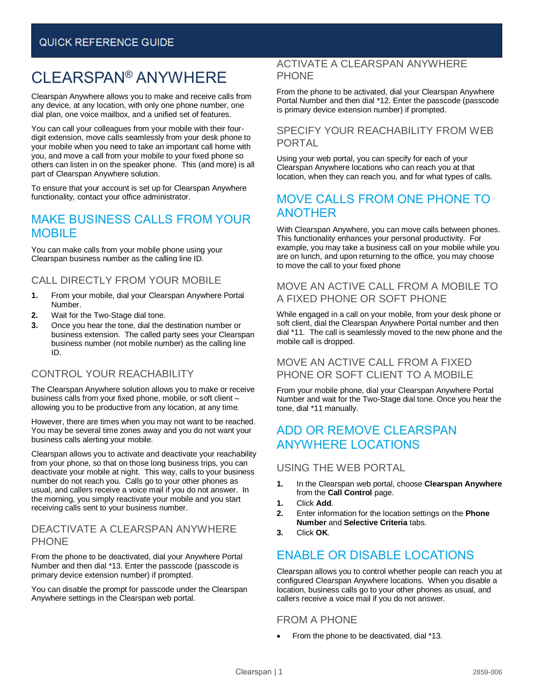# CLEARSPAN® ANYWHERE

Clearspan Anywhere allows you to make and receive calls from any device, at any location, with only one phone number, one dial plan, one voice mailbox, and a unified set of features.

You can call your colleagues from your mobile with their fourdigit extension, move calls seamlessly from your desk phone to your mobile when you need to take an important call home with you, and move a call from your mobile to your fixed phone so others can listen in on the speaker phone. This (and more) is all part of Clearspan Anywhere solution.

To ensure that your account is set up for Clearspan Anywhere functionality, contact your office administrator.

## MAKE BUSINESS CALLS FROM YOUR MOBILE

You can make calls from your mobile phone using your Clearspan business number as the calling line ID.

### CALL DIRECTLY FROM YOUR MOBILE

- **1.** From your mobile, dial your Clearspan Anywhere Portal Number.
- **2.** Wait for the Two-Stage dial tone.
- **3.** Once you hear the tone, dial the destination number or business extension. The called party sees your Clearspan business number (not mobile number) as the calling line ID.

### CONTROL YOUR REACHABILITY

The Clearspan Anywhere solution allows you to make or receive business calls from your fixed phone, mobile, or soft client – allowing you to be productive from any location, at any time.

However, there are times when you may not want to be reached. You may be several time zones away and you do not want your business calls alerting your mobile.

Clearspan allows you to activate and deactivate your reachability from your phone, so that on those long business trips, you can deactivate your mobile at night. This way, calls to your business number do not reach you. Calls go to your other phones as usual, and callers receive a voice mail if you do not answer. In the morning, you simply reactivate your mobile and you start receiving calls sent to your business number.

#### DEACTIVATE A CLEARSPAN ANYWHERE **PHONE**

From the phone to be deactivated, dial your Anywhere Portal Number and then dial \*13. Enter the passcode (passcode is primary device extension number) if prompted.

You can disable the prompt for passcode under the Clearspan Anywhere settings in the Clearspan web portal.

#### ACTIVATE A CLEARSPAN ANYWHERE **PHONE**

From the phone to be activated, dial your Clearspan Anywhere Portal Number and then dial \*12. Enter the passcode (passcode is primary device extension number) if prompted.

#### SPECIFY YOUR REACHABILITY FROM WEB PORTAL

Using your web portal, you can specify for each of your Clearspan Anywhere locations who can reach you at that location, when they can reach you, and for what types of calls.

### MOVE CALLS FROM ONE PHONE TO ANOTHER

With Clearspan Anywhere, you can move calls between phones. This functionality enhances your personal productivity. For example, you may take a business call on your mobile while you are on lunch, and upon returning to the office, you may choose to move the call to your fixed phone

#### MOVE AN ACTIVE CALL FROM A MOBILE TO A FIXED PHONE OR SOFT PHONE

While engaged in a call on your mobile, from your desk phone or soft client, dial the Clearspan Anywhere Portal number and then dial \*11. The call is seamlessly moved to the new phone and the mobile call is dropped.

#### MOVE AN ACTIVE CALL FROM A FIXED PHONE OR SOFT CLIENT TO A MOBILE

From your mobile phone, dial your Clearspan Anywhere Portal Number and wait for the Two-Stage dial tone. Once you hear the tone, dial \*11 manually.

### ADD OR REMOVE CLEARSPAN ANYWHERE LOCATIONS

#### USING THE WEB PORTAL

- **1.** In the Clearspan web portal, choose **Clearspan Anywhere** from the **Call Control** page.
- **1.** Click **Add**.
- **2.** Enter information for the location settings on the **Phone Number** and **Selective Criteria** tabs.
- **3.** Click **OK**.

# ENABLE OR DISABLE LOCATIONS

Clearspan allows you to control whether people can reach you at configured Clearspan Anywhere locations. When you disable a location, business calls go to your other phones as usual, and callers receive a voice mail if you do not answer.

#### FROM A PHONE

• From the phone to be deactivated, dial \*13.